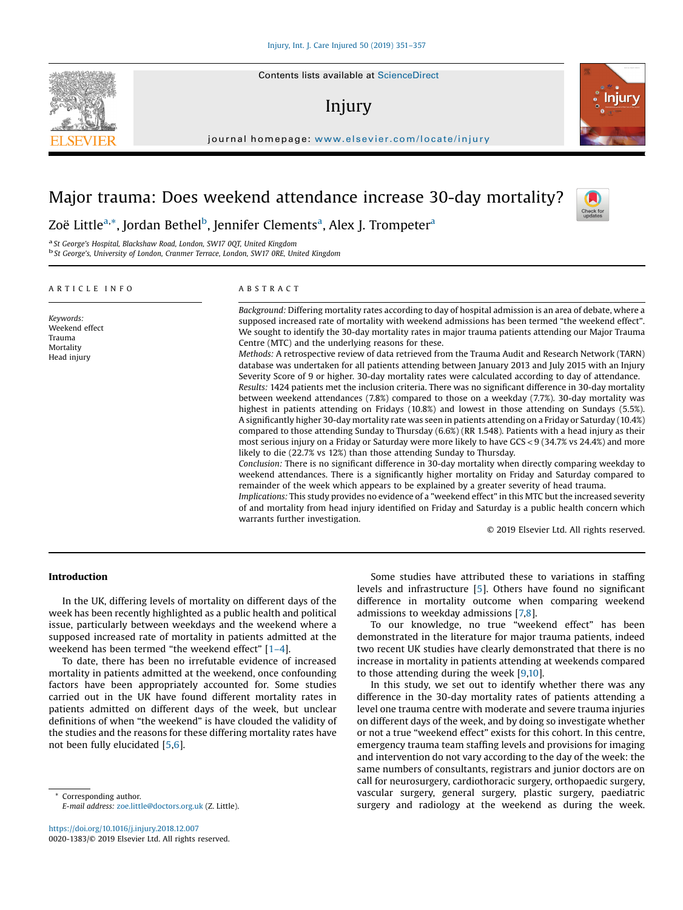# Injury

journal homepage: <www.elsevier.com/locate/injury>/ $\mathcal{N}$ 

## Major trauma: Does weekend attendance increase 30-day mortality?

Zoë Little<sup>a,</sup>\*, Jordan Bethel<sup>b</sup>, Jennifer Clements<sup>a</sup>, Alex J. Trompeter<sup>a</sup>

<sup>a</sup> St George's Hospital, Blackshaw Road, London, SW17 0QT, United Kingdom b St George's, University of London, Cranmer Terrace, London, SW17 0RE, United Kingdom

## A R T I C L E I N F O

Keywords: Weekend effect Trauma Mortality Head injury

## A B S T R A C T

Background: Differing mortality rates according to day of hospital admission is an area of debate, where a supposed increased rate of mortality with weekend admissions has been termed "the weekend effect". We sought to identify the 30-day mortality rates in major trauma patients attending our Major Trauma Centre (MTC) and the underlying reasons for these. Methods: A retrospective review of data retrieved from the Trauma Audit and Research Network (TARN) database was undertaken for all patients attending between January 2013 and July 2015 with an Injury Severity Score of 9 or higher. 30-day mortality rates were calculated according to day of attendance. Results: 1424 patients met the inclusion criteria. There was no significant difference in 30-day mortality between weekend attendances (7.8%) compared to those on a weekday (7.7%). 30-day mortality was highest in patients attending on Fridays (10.8%) and lowest in those attending on Sundays (5.5%). A significantly higher 30-day mortality rate was seen in patients attending on a Friday or Saturday (10.4%) compared to those attending Sunday to Thursday (6.6%) (RR 1.548). Patients with a head injury as their most serious injury on a Friday or Saturday were more likely to have GCS<9 (34.7% vs 24.4%) and more likely to die (22.7% vs 12%) than those attending Sunday to Thursday. Conclusion: There is no significant difference in 30-day mortality when directly comparing weekday to weekend attendances. There is a significantly higher mortality on Friday and Saturday compared to remainder of the week which appears to be explained by a greater severity of head trauma. Implications: This study provides no evidence of a "weekend effect" in this MTC but the increased severity of and mortality from head injury identified on Friday and Saturday is a public health concern which warrants further investigation.

© 2019 Elsevier Ltd. All rights reserved.

## Introduction

In the UK, differing levels of mortality on different days of the week has been recently highlighted as a public health and political issue, particularly between weekdays and the weekend where a supposed increased rate of mortality in patients admitted at the weekend has been termed "the weekend effect" [\[1](#page-6-0)–4].

To date, there has been no irrefutable evidence of increased mortality in patients admitted at the weekend, once confounding factors have been appropriately accounted for. Some studies carried out in the UK have found different mortality rates in patients admitted on different days of the week, but unclear definitions of when "the weekend" is have clouded the validity of the studies and the reasons for these differing mortality rates have not been fully elucidated [[5](#page-6-0),[6](#page-6-0)].

Corresponding author. E-mail address: [zoe.little@doctors.org.uk](mailto:zoe.little@doctors.org.uk) (Z. Little).

<https://doi.org/10.1016/j.injury.2018.12.007> 0020-1383/© 2019 Elsevier Ltd. All rights reserved.

Some studies have attributed these to variations in staffing levels and infrastructure [\[5](#page-6-0)]. Others have found no significant difference in mortality outcome when comparing weekend admissions to weekday admissions [\[7,8\]](#page-6-0).

To our knowledge, no true "weekend effect" has been demonstrated in the literature for major trauma patients, indeed two recent UK studies have clearly demonstrated that there is no increase in mortality in patients attending at weekends compared to those attending during the week [\[9,10](#page-6-0)].

In this study, we set out to identify whether there was any difference in the 30-day mortality rates of patients attending a level one trauma centre with moderate and severe trauma injuries on different days of the week, and by doing so investigate whether or not a true "weekend effect" exists for this cohort. In this centre, emergency trauma team staffing levels and provisions for imaging and intervention do not vary according to the day of the week: the same numbers of consultants, registrars and junior doctors are on call for neurosurgery, cardiothoracic surgery, orthopaedic surgery, vascular surgery, general surgery, plastic surgery, paediatric surgery and radiology at the weekend as during the week.





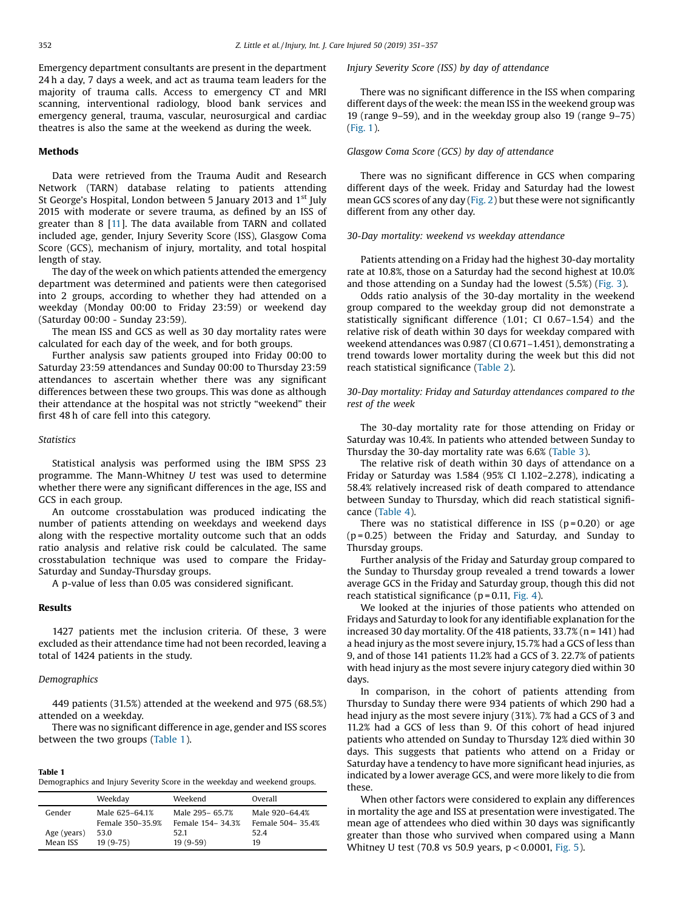Emergency department consultants are present in the department 24 h a day, 7 days a week, and act as trauma team leaders for the majority of trauma calls. Access to emergency CT and MRI scanning, interventional radiology, blood bank services and emergency general, trauma, vascular, neurosurgical and cardiac theatres is also the same at the weekend as during the week.

## Methods

Data were retrieved from the Trauma Audit and Research Network (TARN) database relating to patients attending St George's Hospital, London between 5 January 2013 and 1<sup>st</sup> July 2015 with moderate or severe trauma, as defined by an ISS of greater than 8 [\[11](#page-6-0)]. The data available from TARN and collated included age, gender, Injury Severity Score (ISS), Glasgow Coma Score (GCS), mechanism of injury, mortality, and total hospital length of stay.

The day of the week on which patients attended the emergency department was determined and patients were then categorised into 2 groups, according to whether they had attended on a weekday (Monday 00:00 to Friday 23:59) or weekend day (Saturday 00:00 - Sunday 23:59).

The mean ISS and GCS as well as 30 day mortality rates were calculated for each day of the week, and for both groups.

Further analysis saw patients grouped into Friday 00:00 to Saturday 23:59 attendances and Sunday 00:00 to Thursday 23:59 attendances to ascertain whether there was any significant differences between these two groups. This was done as although their attendance at the hospital was not strictly "weekend" their first 48 h of care fell into this category.

## **Statistics**

Statistical analysis was performed using the IBM SPSS 23 programme. The Mann-Whitney U test was used to determine whether there were any significant differences in the age, ISS and GCS in each group.

An outcome crosstabulation was produced indicating the number of patients attending on weekdays and weekend days along with the respective mortality outcome such that an odds ratio analysis and relative risk could be calculated. The same crosstabulation technique was used to compare the Friday-Saturday and Sunday-Thursday groups.

A p-value of less than 0.05 was considered significant.

## Results

1427 patients met the inclusion criteria. Of these, 3 were excluded as their attendance time had not been recorded, leaving a total of 1424 patients in the study.

## Demographics

449 patients (31.5%) attended at the weekend and 975 (68.5%) attended on a weekday.

There was no significant difference in age, gender and ISS scores between the two groups (Table 1).

| Table 1                                                                   |  |
|---------------------------------------------------------------------------|--|
| Demographics and Injury Severity Score in the weekday and weekend groups. |  |

|             | Weekday          | Weekend            | Overall            |
|-------------|------------------|--------------------|--------------------|
| Gender      | Male 625-64.1%   | Male 295-65.7%     | Male 920-64.4%     |
|             | Female 350-35.9% | Female 154 - 34.3% | Female 504 - 35.4% |
| Age (years) | 53.0             | 52.1               | 52.4               |
| Mean ISS    | $19(9-75)$       | $19(9-59)$         | 19                 |

Injury Severity Score (ISS) by day of attendance

There was no significant difference in the ISS when comparing different days of the week: the mean ISS in the weekend group was 19 (range 9–59), and in the weekday group also 19 (range 9–75) ([Fig.](#page-2-0) 1).

## Glasgow Coma Score (GCS) by day of attendance

There was no significant difference in GCS when comparing different days of the week. Friday and Saturday had the lowest mean GCS scores of any day ([Fig.](#page-2-0) 2) but these were not significantly different from any other day.

#### 30-Day mortality: weekend vs weekday attendance

Patients attending on a Friday had the highest 30-day mortality rate at 10.8%, those on a Saturday had the second highest at 10.0% and those attending on a Sunday had the lowest (5.5%) [\(Fig.](#page-3-0) 3).

Odds ratio analysis of the 30-day mortality in the weekend group compared to the weekday group did not demonstrate a statistically significant difference (1.01; CI 0.67–1.54) and the relative risk of death within 30 days for weekday compared with weekend attendances was 0.987 (CI 0.671–1.451), demonstrating a trend towards lower mortality during the week but this did not reach statistical significance ([Table](#page-3-0) 2).

30-Day mortality: Friday and Saturday attendances compared to the rest of the week

The 30-day mortality rate for those attending on Friday or Saturday was 10.4%. In patients who attended between Sunday to Thursday the 30-day mortality rate was 6.6% ([Table](#page-3-0) 3).

The relative risk of death within 30 days of attendance on a Friday or Saturday was 1.584 (95% CI 1.102–2.278), indicating a 58.4% relatively increased risk of death compared to attendance between Sunday to Thursday, which did reach statistical significance [\(Table](#page-3-0) 4).

There was no statistical difference in ISS ( $p = 0.20$ ) or age  $(p = 0.25)$  between the Friday and Saturday, and Sunday to Thursday groups.

Further analysis of the Friday and Saturday group compared to the Sunday to Thursday group revealed a trend towards a lower average GCS in the Friday and Saturday group, though this did not reach statistical significance ( $p = 0.11$ , [Fig.](#page-4-0) 4).

We looked at the injuries of those patients who attended on Fridays and Saturday to look for any identifiable explanation for the increased 30 day mortality. Of the 418 patients, 33.7% (n = 141) had a head injury as the most severe injury,15.7% had a GCS of less than 9, and of those 141 patients 11.2% had a GCS of 3. 22.7% of patients with head injury as the most severe injury category died within 30 days.

In comparison, in the cohort of patients attending from Thursday to Sunday there were 934 patients of which 290 had a head injury as the most severe injury (31%). 7% had a GCS of 3 and 11.2% had a GCS of less than 9. Of this cohort of head injured patients who attended on Sunday to Thursday 12% died within 30 days. This suggests that patients who attend on a Friday or Saturday have a tendency to have more significant head injuries, as indicated by a lower average GCS, and were more likely to die from these.

When other factors were considered to explain any differences in mortality the age and ISS at presentation were investigated. The mean age of attendees who died within 30 days was significantly greater than those who survived when compared using a Mann Whitney U test (70.8 vs 50.9 years,  $p < 0.0001$ , [Fig.](#page-4-0) 5).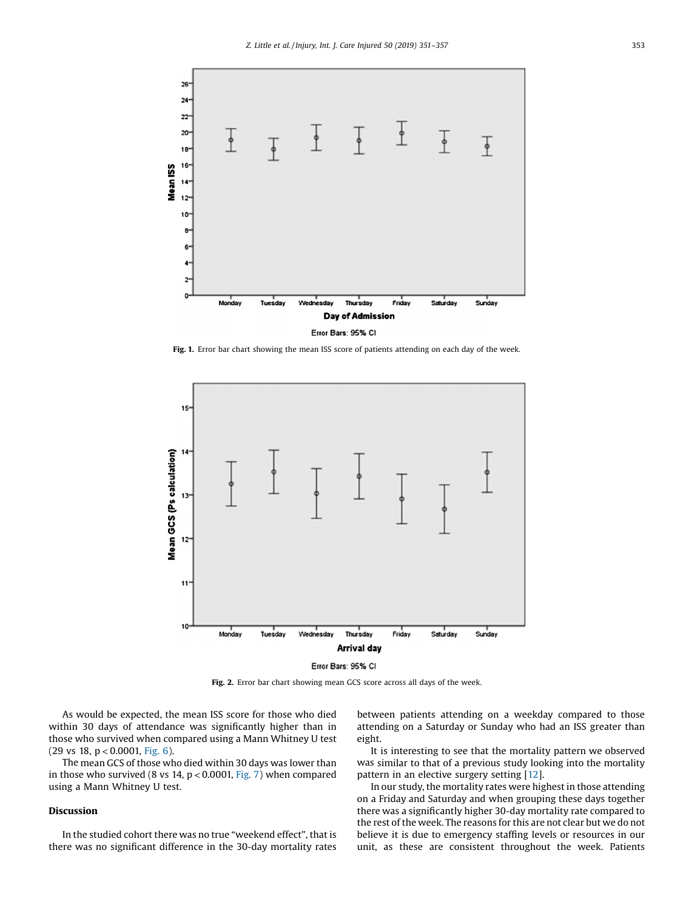<span id="page-2-0"></span>

Fig. 1. Error bar chart showing the mean ISS score of patients attending on each day of the week.



Error Bars: 95% CI

Fig. 2. Error bar chart showing mean GCS score across all days of the week.

As would be expected, the mean ISS score for those who died within 30 days of attendance was significantly higher than in those who survived when compared using a Mann Whitney U test  $(29 \text{ vs } 18, \text{ p} < 0.0001, \text{ Fig. 6}).$  $(29 \text{ vs } 18, \text{ p} < 0.0001, \text{ Fig. 6}).$  $(29 \text{ vs } 18, \text{ p} < 0.0001, \text{ Fig. 6}).$ 

The mean GCS of those who died within 30 days was lower than in those who survived (8 vs 14,  $p < 0.0001$ , [Fig.](#page-5-0) 7) when compared using a Mann Whitney U test.

## Discussion

In the studied cohort there was no true "weekend effect", that is there was no significant difference in the 30-day mortality rates between patients attending on a weekday compared to those attending on a Saturday or Sunday who had an ISS greater than eight.

It is interesting to see that the mortality pattern we observed was similar to that of a previous study looking into the mortality pattern in an elective surgery setting [\[12\]](#page-6-0).

In our study, the mortality rates were highest in those attending on a Friday and Saturday and when grouping these days together there was a significantly higher 30-day mortality rate compared to the rest of the week. The reasons for this are not clear but we do not believe it is due to emergency staffing levels or resources in our unit, as these are consistent throughout the week. Patients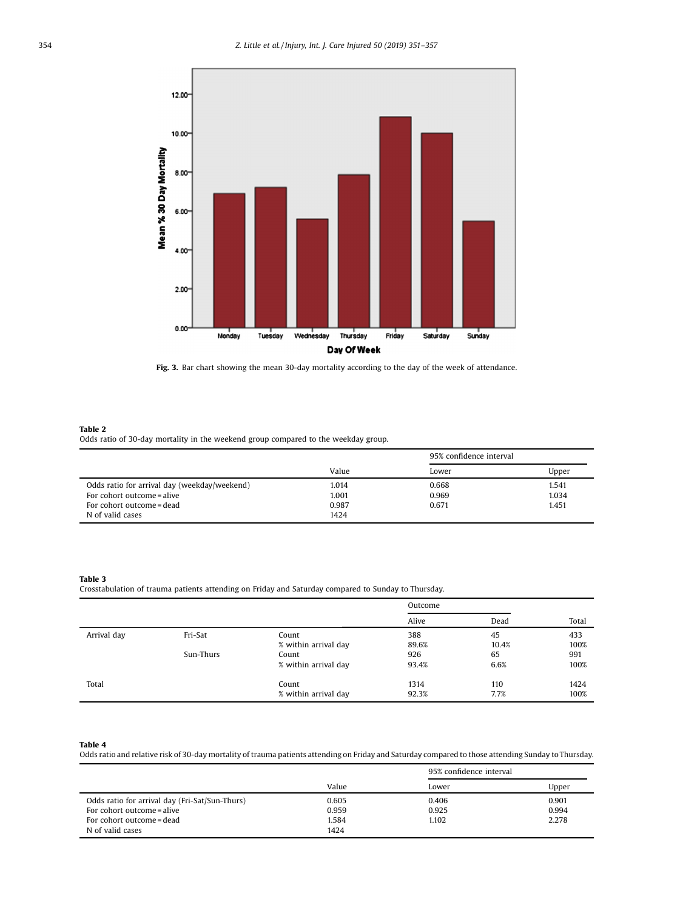<span id="page-3-0"></span>

Fig. 3. Bar chart showing the mean 30-day mortality according to the day of the week of attendance.

### Table 2

Odds ratio of 30-day mortality in the weekend group compared to the weekday group.

|                                              |       | 95% confidence interval |       |
|----------------------------------------------|-------|-------------------------|-------|
|                                              | Value | Lower                   | Upper |
| Odds ratio for arrival day (weekday/weekend) | 1.014 | 0.668                   | 1.541 |
| For cohort outcome = alive                   | 1.001 | 0.969                   | 1.034 |
| For cohort outcome = dead                    | 0.987 | 0.671                   | 1.451 |
| N of valid cases                             | 1424  |                         |       |

#### Table 3

Crosstabulation of trauma patients attending on Friday and Saturday compared to Sunday to Thursday.

|             |           |                      | Outcome |       |       |
|-------------|-----------|----------------------|---------|-------|-------|
|             |           |                      | Alive   | Dead  | Total |
| Arrival day | Fri-Sat   | Count                | 388     | 45    | 433   |
|             |           | % within arrival day | 89.6%   | 10.4% | 100%  |
|             | Sun-Thurs | Count                | 926     | 65    | 991   |
|             |           | % within arrival day | 93.4%   | 6.6%  | 100%  |
| Total       |           | Count                | 1314    | 110   | 1424  |
|             |           | % within arrival day | 92.3%   | 7.7%  | 100%  |

Table 4

Odds ratio and relative risk of 30-day mortality of trauma patients attending on Friday and Saturday compared to those attending Sunday toThursday.

|                                                | Value | 95% confidence interval |       |
|------------------------------------------------|-------|-------------------------|-------|
|                                                |       | Lower                   | Upper |
| Odds ratio for arrival day (Fri-Sat/Sun-Thurs) | 0.605 | 0.406                   | 0.901 |
| For cohort outcome = alive                     | 0.959 | 0.925                   | 0.994 |
| For cohort outcome = dead                      | 1.584 | 1.102                   | 2.278 |
| N of valid cases                               | 1424  |                         |       |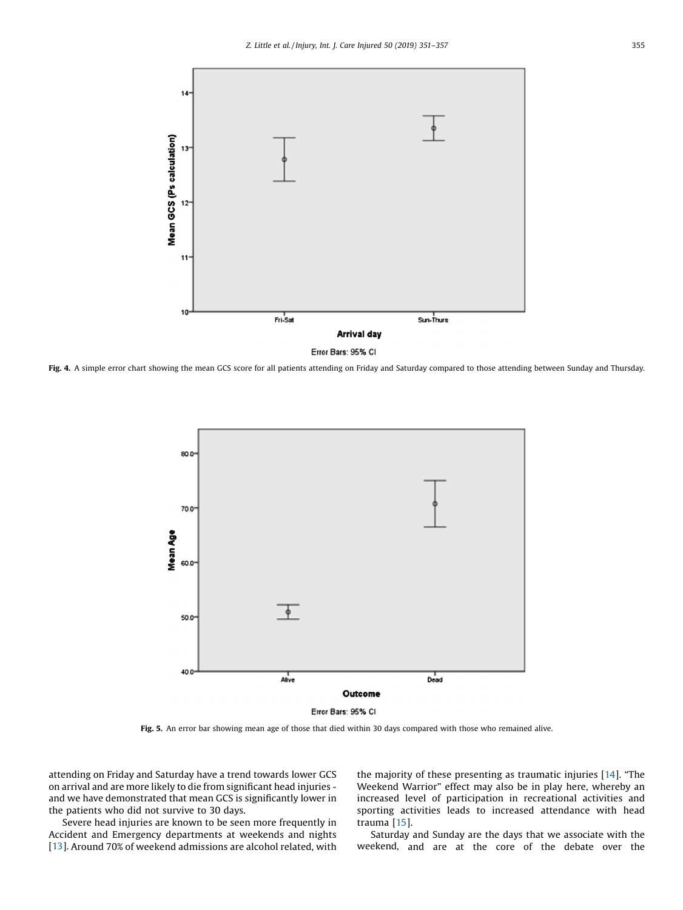<span id="page-4-0"></span>

Fig. 4. A simple error chart showing the mean GCS score for all patients attending on Friday and Saturday compared to those attending between Sunday and Thursday.



Fig. 5. An error bar showing mean age of those that died within 30 days compared with those who remained alive.

attending on Friday and Saturday have a trend towards lower GCS on arrival and are more likely to die from significant head injuries and we have demonstrated that mean GCS is significantly lower in the patients who did not survive to 30 days.

Severe head injuries are known to be seen more frequently in Accident and Emergency departments at weekends and nights [[13](#page-6-0)]. Around 70% of weekend admissions are alcohol related, with the majority of these presenting as traumatic injuries [[14\]](#page-6-0). "The Weekend Warrior" effect may also be in play here, whereby an increased level of participation in recreational activities and sporting activities leads to increased attendance with head trauma [\[15\]](#page-6-0).

Saturday and Sunday are the days that we associate with the weekend, and are at the core of the debate over the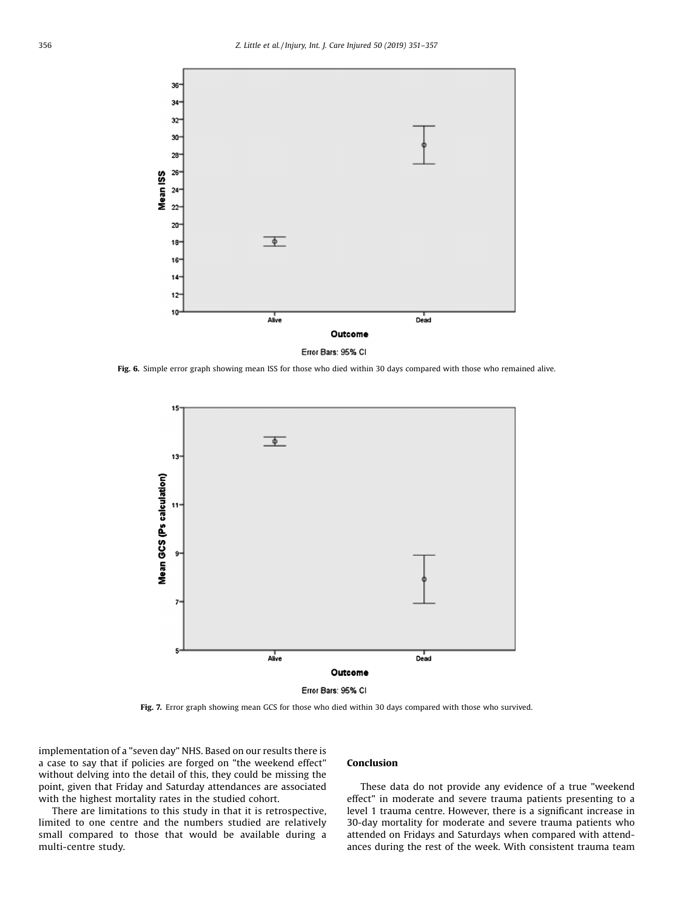<span id="page-5-0"></span>

Fig. 6. Simple error graph showing mean ISS for those who died within 30 days compared with those who remained alive.



Error Bars: 95% CI

Fig. 7. Error graph showing mean GCS for those who died within 30 days compared with those who survived.

implementation of a "seven day" NHS. Based on our results there is a case to say that if policies are forged on "the weekend effect" without delving into the detail of this, they could be missing the point, given that Friday and Saturday attendances are associated with the highest mortality rates in the studied cohort.

There are limitations to this study in that it is retrospective, limited to one centre and the numbers studied are relatively small compared to those that would be available during a multi-centre study.

#### Conclusion

These data do not provide any evidence of a true "weekend effect" in moderate and severe trauma patients presenting to a level 1 trauma centre. However, there is a significant increase in 30-day mortality for moderate and severe trauma patients who attended on Fridays and Saturdays when compared with attendances during the rest of the week. With consistent trauma team